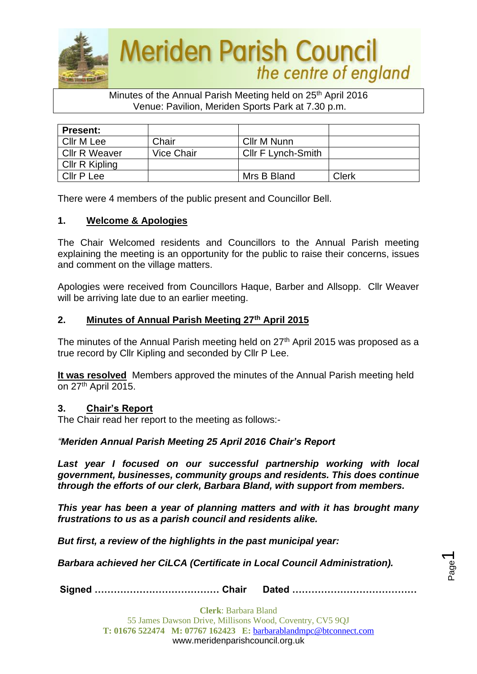

## Minutes of the Annual Parish Meeting held on 25<sup>th</sup> April 2016 Venue: Pavilion, Meriden Sports Park at 7.30 p.m.

| <b>Present:</b>      |            |                           |       |
|----------------------|------------|---------------------------|-------|
| Cllr M Lee           | Chair      | Cllr M Nunn               |       |
| <b>Cllr R Weaver</b> | Vice Chair | <b>CIIr F Lynch-Smith</b> |       |
| Cllr R Kipling       |            |                           |       |
| Cllr P Lee           |            | Mrs B Bland               | Clerk |

There were 4 members of the public present and Councillor Bell.

#### **1. Welcome & Apologies**

The Chair Welcomed residents and Councillors to the Annual Parish meeting explaining the meeting is an opportunity for the public to raise their concerns, issues and comment on the village matters.

Apologies were received from Councillors Haque, Barber and Allsopp. Cllr Weaver will be arriving late due to an earlier meeting.

#### **2. Minutes of Annual Parish Meeting 27th April 2015**

The minutes of the Annual Parish meeting held on 27<sup>th</sup> April 2015 was proposed as a true record by Cllr Kipling and seconded by Cllr P Lee.

**It was resolved** Members approved the minutes of the Annual Parish meeting held on  $27<sup>th</sup>$  April 2015.

#### **3. Chair's Report**

The Chair read her report to the meeting as follows:-

## *"Meriden Annual Parish Meeting 25 April 2016 Chair's Report*

*Last year I focused on our successful partnership working with local government, businesses, community groups and residents. This does continue through the efforts of our clerk, Barbara Bland, with support from members.*

*This year has been a year of planning matters and with it has brought many frustrations to us as a parish council and residents alike.*

*But first, a review of the highlights in the past municipal year:*

*Barbara achieved her CiLCA (Certificate in Local Council Administration).*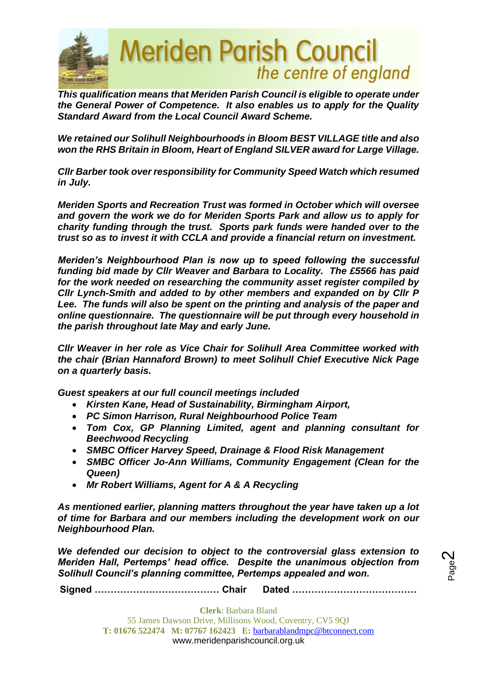

*This qualification means that Meriden Parish Council is eligible to operate under the General Power of Competence. It also enables us to apply for the Quality Standard Award from the Local Council Award Scheme.*

*We retained our Solihull Neighbourhoods in Bloom BEST VILLAGE title and also won the RHS Britain in Bloom, Heart of England SILVER award for Large Village.*

*Cllr Barber took over responsibility for Community Speed Watch which resumed in July.* 

*Meriden Sports and Recreation Trust was formed in October which will oversee and govern the work we do for Meriden Sports Park and allow us to apply for charity funding through the trust. Sports park funds were handed over to the trust so as to invest it with CCLA and provide a financial return on investment.*

*Meriden's Neighbourhood Plan is now up to speed following the successful funding bid made by Cllr Weaver and Barbara to Locality. The £5566 has paid for the work needed on researching the community asset register compiled by Cllr Lynch-Smith and added to by other members and expanded on by Cllr P*  Lee. The funds will also be spent on the printing and analysis of the paper and *online questionnaire. The questionnaire will be put through every household in the parish throughout late May and early June.*

*Cllr Weaver in her role as Vice Chair for Solihull Area Committee worked with the chair (Brian Hannaford Brown) to meet Solihull Chief Executive Nick Page on a quarterly basis.*

*Guest speakers at our full council meetings included* 

- *Kirsten Kane, Head of Sustainability, Birmingham Airport,*
- *PC Simon Harrison, Rural Neighbourhood Police Team*
- *Tom Cox, GP Planning Limited, agent and planning consultant for Beechwood Recycling*
- *SMBC Officer Harvey Speed, Drainage & Flood Risk Management*
- *SMBC Officer Jo-Ann Williams, Community Engagement (Clean for the Queen)*
- *Mr Robert Williams, Agent for A & A Recycling*

*As mentioned earlier, planning matters throughout the year have taken up a lot of time for Barbara and our members including the development work on our Neighbourhood Plan.* 

*We defended our decision to object to the controversial glass extension to Meriden Hall, Pertemps' head office. Despite the unanimous objection from Solihull Council's planning committee, Pertemps appealed and won.* 

**Signed ………………………………… Chair Dated …………………………………**

Page  $\boldsymbol{\sim}$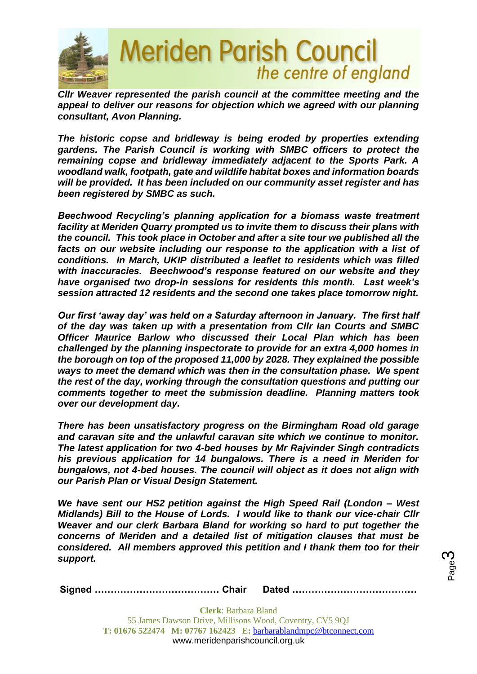

*Cllr Weaver represented the parish council at the committee meeting and the*  appeal to deliver our reasons for objection which we agreed with our planning *consultant, Avon Planning.*

*The historic copse and bridleway is being eroded by properties extending gardens. The Parish Council is working with SMBC officers to protect the remaining copse and bridleway immediately adjacent to the Sports Park. A woodland walk, footpath, gate and wildlife habitat boxes and information boards will be provided. It has been included on our community asset register and has been registered by SMBC as such.*

*Beechwood Recycling's planning application for a biomass waste treatment facility at Meriden Quarry prompted us to invite them to discuss their plans with the council. This took place in October and after a site tour we published all the facts on our website including our response to the application with a list of conditions. In March, UKIP distributed a leaflet to residents which was filled with inaccuracies. Beechwood's response featured on our website and they have organised two drop-in sessions for residents this month. Last week's session attracted 12 residents and the second one takes place tomorrow night.* 

*Our first 'away day' was held on a Saturday afternoon in January. The first half of the day was taken up with a presentation from Cllr Ian Courts and SMBC Officer Maurice Barlow who discussed their Local Plan which has been challenged by the planning inspectorate to provide for an extra 4,000 homes in the borough on top of the proposed 11,000 by 2028. They explained the possible ways to meet the demand which was then in the consultation phase. We spent the rest of the day, working through the consultation questions and putting our comments together to meet the submission deadline. Planning matters took over our development day.* 

*There has been unsatisfactory progress on the Birmingham Road old garage and caravan site and the unlawful caravan site which we continue to monitor. The latest application for two 4-bed houses by Mr Rajvinder Singh contradicts his previous application for 14 bungalows. There is a need in Meriden for bungalows, not 4-bed houses. The council will object as it does not align with our Parish Plan or Visual Design Statement.*

*We have sent our HS2 petition against the High Speed Rail (London – West Midlands) Bill to the House of Lords. I would like to thank our vice-chair Cllr Weaver and our clerk Barbara Bland for working so hard to put together the concerns of Meriden and a detailed list of mitigation clauses that must be considered. All members approved this petition and I thank them too for their support.*

Page ო

**Signed ………………………………… Chair Dated …………………………………**

**Clerk**: Barbara Bland 55 James Dawson Drive, Millisons Wood, Coventry, CV5 9QJ **T: 01676 522474 M: 07767 162423 E:** [barbarablandmpc@btconnect.com](mailto:barbarablandmpc@btconnect.com) www.meridenparishcouncil.org.uk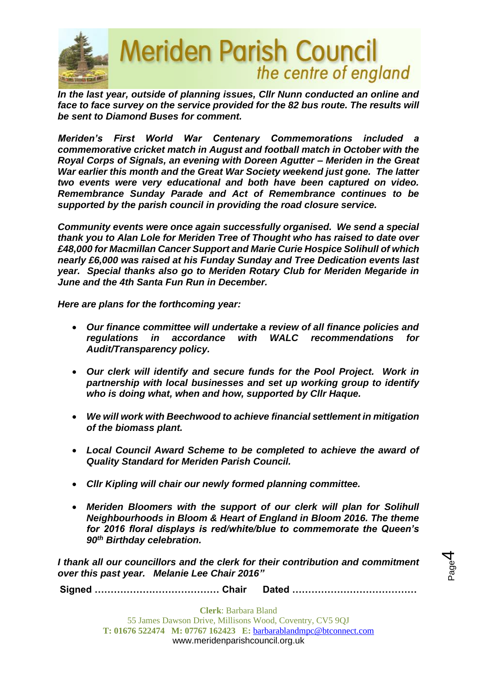

*In the last year, outside of planning issues, Cllr Nunn conducted an online and*  face to face survey on the service provided for the 82 bus route. The results will *be sent to Diamond Buses for comment.*

*Meriden's First World War Centenary Commemorations included a commemorative cricket match in August and football match in October with the Royal Corps of Signals, an evening with Doreen Agutter – Meriden in the Great War earlier this month and the Great War Society weekend just gone. The latter two events were very educational and both have been captured on video. Remembrance Sunday Parade and Act of Remembrance continues to be supported by the parish council in providing the road closure service.* 

*Community events were once again successfully organised. We send a special thank you to Alan Lole for Meriden Tree of Thought who has raised to date over £48,000 for Macmillan Cancer Support and Marie Curie Hospice Solihull of which nearly £6,000 was raised at his Funday Sunday and Tree Dedication events last year. Special thanks also go to Meriden Rotary Club for Meriden Megaride in June and the 4th Santa Fun Run in December.* 

*Here are plans for the forthcoming year:*

- *Our finance committee will undertake a review of all finance policies and regulations in accordance with WALC recommendations for Audit/Transparency policy.*
- *Our clerk will identify and secure funds for the Pool Project. Work in partnership with local businesses and set up working group to identify who is doing what, when and how, supported by Cllr Haque.*
- *We will work with Beechwood to achieve financial settlement in mitigation of the biomass plant.*
- *Local Council Award Scheme to be completed to achieve the award of Quality Standard for Meriden Parish Council.*
- *Cllr Kipling will chair our newly formed planning committee.*
- *Meriden Bloomers with the support of our clerk will plan for Solihull Neighbourhoods in Bloom & Heart of England in Bloom 2016. The theme for 2016 floral displays is red/white/blue to commemorate the Queen's 90th Birthday celebration.*

*I thank all our councillors and the clerk for their contribution and commitment over this past year. Melanie Lee Chair 2016"*

**Signed ………………………………… Chair Dated …………………………………**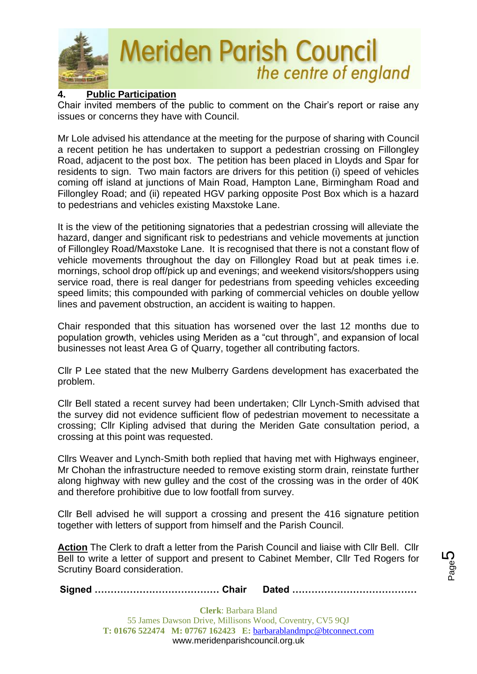

# **Meriden Parish Council** the centre of england

# **4. Public Participation**

Chair invited members of the public to comment on the Chair's report or raise any issues or concerns they have with Council.

Mr Lole advised his attendance at the meeting for the purpose of sharing with Council a recent petition he has undertaken to support a pedestrian crossing on Fillongley Road, adjacent to the post box. The petition has been placed in Lloyds and Spar for residents to sign. Two main factors are drivers for this petition (i) speed of vehicles coming off island at junctions of Main Road, Hampton Lane, Birmingham Road and Fillongley Road; and (ii) repeated HGV parking opposite Post Box which is a hazard to pedestrians and vehicles existing Maxstoke Lane.

It is the view of the petitioning signatories that a pedestrian crossing will alleviate the hazard, danger and significant risk to pedestrians and vehicle movements at junction of Fillongley Road/Maxstoke Lane. It is recognised that there is not a constant flow of vehicle movements throughout the day on Fillongley Road but at peak times i.e. mornings, school drop off/pick up and evenings; and weekend visitors/shoppers using service road, there is real danger for pedestrians from speeding vehicles exceeding speed limits; this compounded with parking of commercial vehicles on double yellow lines and pavement obstruction, an accident is waiting to happen.

Chair responded that this situation has worsened over the last 12 months due to population growth, vehicles using Meriden as a "cut through", and expansion of local businesses not least Area G of Quarry, together all contributing factors.

Cllr P Lee stated that the new Mulberry Gardens development has exacerbated the problem.

Cllr Bell stated a recent survey had been undertaken; Cllr Lynch-Smith advised that the survey did not evidence sufficient flow of pedestrian movement to necessitate a crossing; Cllr Kipling advised that during the Meriden Gate consultation period, a crossing at this point was requested.

Cllrs Weaver and Lynch-Smith both replied that having met with Highways engineer, Mr Chohan the infrastructure needed to remove existing storm drain, reinstate further along highway with new gulley and the cost of the crossing was in the order of 40K and therefore prohibitive due to low footfall from survey.

Cllr Bell advised he will support a crossing and present the 416 signature petition together with letters of support from himself and the Parish Council.

**Action** The Clerk to draft a letter from the Parish Council and liaise with Cllr Bell. Cllr Bell to write a letter of support and present to Cabinet Member, Cllr Ted Rogers for Scrutiny Board consideration.

**Signed ………………………………… Chair Dated …………………………………**

**Clerk**: Barbara Bland 55 James Dawson Drive, Millisons Wood, Coventry, CV5 9QJ **T: 01676 522474 M: 07767 162423 E:** [barbarablandmpc@btconnect.com](mailto:barbarablandmpc@btconnect.com) www.meridenparishcouncil.org.uk